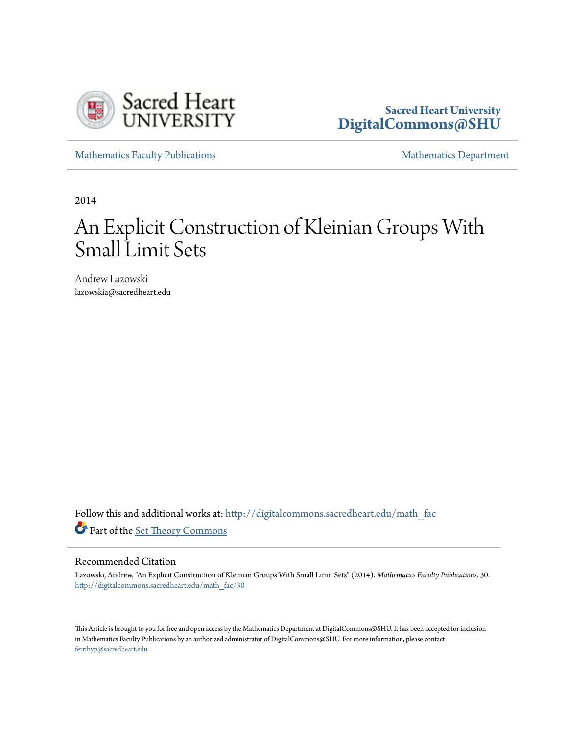

### **Sacred Heart University [DigitalCommons@SHU](http://digitalcommons.sacredheart.edu?utm_source=digitalcommons.sacredheart.edu%2Fmath_fac%2F30&utm_medium=PDF&utm_campaign=PDFCoverPages)**

[Mathematics Faculty Publications](http://digitalcommons.sacredheart.edu/math_fac?utm_source=digitalcommons.sacredheart.edu%2Fmath_fac%2F30&utm_medium=PDF&utm_campaign=PDFCoverPages) **[Mathematics Department](http://digitalcommons.sacredheart.edu/math?utm_source=digitalcommons.sacredheart.edu%2Fmath_fac%2F30&utm_medium=PDF&utm_campaign=PDFCoverPages)** 

2014

# An Explicit Construction of Kleinian Groups With Small Limit Sets

Andrew Lazowski lazowskia@sacredheart.edu

Follow this and additional works at: [http://digitalcommons.sacredheart.edu/math\\_fac](http://digitalcommons.sacredheart.edu/math_fac?utm_source=digitalcommons.sacredheart.edu%2Fmath_fac%2F30&utm_medium=PDF&utm_campaign=PDFCoverPages) Part of the [Set Theory Commons](https://network.bepress.com/hgg/discipline/184?utm_source=digitalcommons.sacredheart.edu%2Fmath_fac%2F30&utm_medium=PDF&utm_campaign=PDFCoverPages)

#### Recommended Citation

Lazowski, Andrew, "An Explicit Construction of Kleinian Groups With Small Limit Sets" (2014). *Mathematics Faculty Publications*. 30. [http://digitalcommons.sacredheart.edu/math\\_fac/30](http://digitalcommons.sacredheart.edu/math_fac/30?utm_source=digitalcommons.sacredheart.edu%2Fmath_fac%2F30&utm_medium=PDF&utm_campaign=PDFCoverPages)

This Article is brought to you for free and open access by the Mathematics Department at DigitalCommons@SHU. It has been accepted for inclusion in Mathematics Faculty Publications by an authorized administrator of DigitalCommons@SHU. For more information, please contact [ferribyp@sacredheart.edu](mailto:ferribyp@sacredheart.edu).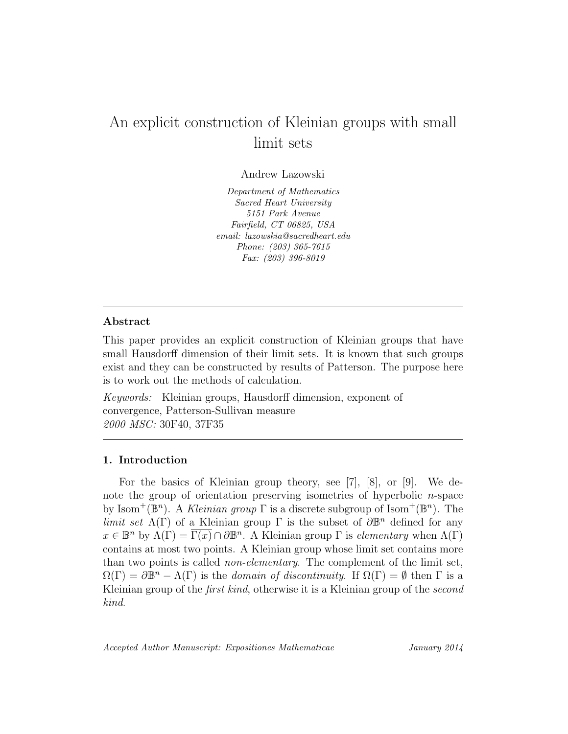## An explicit construction of Kleinian groups with small limit sets

Andrew Lazowski

Department of Mathematics Sacred Heart University 5151 Park Avenue Fairfield, CT 06825, USA email: lazowskia@sacredheart.edu Phone: (203) 365-7615 Fax: (203) 396-8019

#### Abstract

This paper provides an explicit construction of Kleinian groups that have small Hausdorff dimension of their limit sets. It is known that such groups exist and they can be constructed by results of Patterson. The purpose here is to work out the methods of calculation.

Keywords: Kleinian groups, Hausdorff dimension, exponent of convergence, Patterson-Sullivan measure 2000 MSC: 30F40, 37F35

#### 1. Introduction

For the basics of Kleinian group theory, see [7], [8], or [9]. We denote the group of orientation preserving isometries of hyperbolic  $n$ -space by Isom<sup>+</sup>( $\mathbb{B}^n$ ). A *Kleinian group*  $\Gamma$  is a discrete subgroup of Isom<sup>+</sup>( $\mathbb{B}^n$ ). The limit set  $\Lambda(\Gamma)$  of a Kleinian group  $\Gamma$  is the subset of  $\partial \mathbb{B}^n$  defined for any  $x \in \mathbb{B}^n$  by  $\Lambda(\Gamma) = \overline{\Gamma(x)} \cap \partial \mathbb{B}^n$ . A Kleinian group  $\Gamma$  is *elementary* when  $\Lambda(\Gamma)$ contains at most two points. A Kleinian group whose limit set contains more than two points is called non-elementary. The complement of the limit set,  $\Omega(\Gamma) = \partial \mathbb{B}^n - \Lambda(\Gamma)$  is the *domain of discontinuity*. If  $\Omega(\Gamma) = \emptyset$  then  $\Gamma$  is a Kleinian group of the *first kind*, otherwise it is a Kleinian group of the *second* kind.

Accepted Author Manuscript: Expositiones Mathematicae January 2014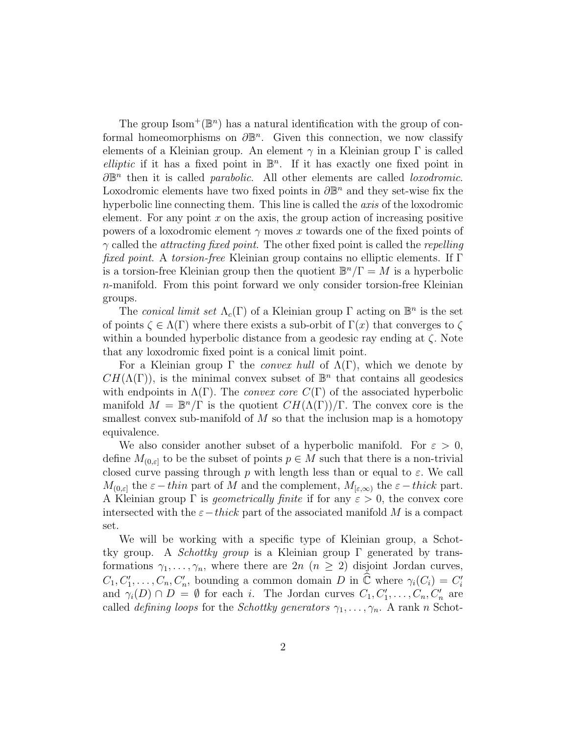The group  $\text{Isom}^+(\mathbb{B}^n)$  has a natural identification with the group of conformal homeomorphisms on  $\partial \mathbb{B}^n$ . Given this connection, we now classify elements of a Kleinian group. An element  $\gamma$  in a Kleinian group  $\Gamma$  is called elliptic if it has a fixed point in  $\mathbb{B}^n$ . If it has exactly one fixed point in  $\partial \mathbb{B}^n$  then it is called *parabolic*. All other elements are called *loxodromic*. Loxodromic elements have two fixed points in  $\partial \mathbb{B}^n$  and they set-wise fix the hyperbolic line connecting them. This line is called the *axis* of the loxodromic element. For any point  $x$  on the axis, the group action of increasing positive powers of a loxodromic element  $\gamma$  moves x towards one of the fixed points of  $\gamma$  called the *attracting fixed point*. The other fixed point is called the *repelling* fixed point. A torsion-free Kleinian group contains no elliptic elements. If Γ is a torsion-free Kleinian group then the quotient  $\mathbb{B}^n/\Gamma = M$  is a hyperbolic n-manifold. From this point forward we only consider torsion-free Kleinian groups.

The conical limit set  $\Lambda_c(\Gamma)$  of a Kleinian group  $\Gamma$  acting on  $\mathbb{B}^n$  is the set of points  $\zeta \in \Lambda(\Gamma)$  where there exists a sub-orbit of  $\Gamma(x)$  that converges to  $\zeta$ within a bounded hyperbolic distance from a geodesic ray ending at  $\zeta$ . Note that any loxodromic fixed point is a conical limit point.

For a Kleinian group  $\Gamma$  the *convex hull* of  $\Lambda(\Gamma)$ , which we denote by  $CH(\Lambda(\Gamma))$ , is the minimal convex subset of  $\mathbb{B}^n$  that contains all geodesics with endpoints in  $\Lambda(\Gamma)$ . The *convex core*  $C(\Gamma)$  of the associated hyperbolic manifold  $M = \mathbb{B}^n/\Gamma$  is the quotient  $CH(\Lambda(\Gamma))/\Gamma$ . The convex core is the smallest convex sub-manifold of  $M$  so that the inclusion map is a homotopy equivalence.

We also consider another subset of a hyperbolic manifold. For  $\varepsilon > 0$ , define  $M_{(0,\varepsilon]}$  to be the subset of points  $p \in M$  such that there is a non-trivial closed curve passing through p with length less than or equal to  $\varepsilon$ . We call  $M_{(0,\varepsilon]}$  the  $\varepsilon-thin$  part of M and the complement,  $M_{(\varepsilon,\infty)}$  the  $\varepsilon-thick$  part. A Kleinian group  $\Gamma$  is *geometrically finite* if for any  $\varepsilon > 0$ , the convex core intersected with the  $\varepsilon-thick$  part of the associated manifold M is a compact set.

We will be working with a specific type of Kleinian group, a Schottky group. A *Schottky group* is a Kleinian group  $\Gamma$  generated by transformations  $\gamma_1, \ldots, \gamma_n$ , where there are  $2n$   $(n \geq 2)$  disjoint Jordan curves,  $C_1, C'_1, \ldots, C_n, C'_n$ , bounding a common domain D in  $\hat{\mathbb{C}}$  where  $\gamma_i(C_i) = C'_i$ and  $\gamma_i(D) \cap D = \emptyset$  for each *i*. The Jordan curves  $C_1, C'_1, \ldots, C_n, C'_n$  are called *defining loops* for the *Schottky generators*  $\gamma_1, \ldots, \gamma_n$ . A rank n Schot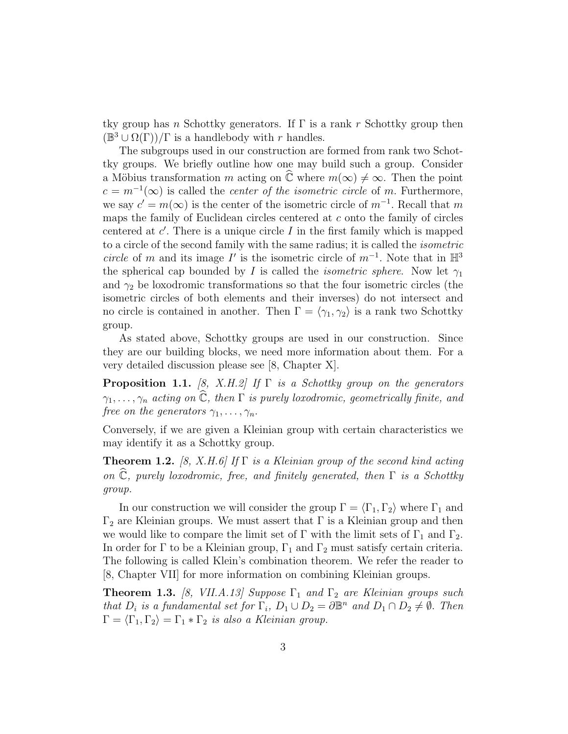tky group has n Schottky generators. If  $\Gamma$  is a rank r Schottky group then  $(\mathbb{B}^3 \cup \Omega(\Gamma))/\Gamma$  is a handlebody with r handles.

The subgroups used in our construction are formed from rank two Schottky groups. We briefly outline how one may build such a group. Consider a Möbius transformation m acting on  $\mathbb C$  where  $m(\infty) \neq \infty$ . Then the point  $c = m^{-1}(\infty)$  is called the *center of the isometric circle* of m. Furthermore, we say  $c' = m(\infty)$  is the center of the isometric circle of  $m^{-1}$ . Recall that m maps the family of Euclidean circles centered at c onto the family of circles centered at  $c'$ . There is a unique circle  $I$  in the first family which is mapped to a circle of the second family with the same radius; it is called the isometric circle of m and its image I' is the isometric circle of  $m^{-1}$ . Note that in  $\mathbb{H}^3$ the spherical cap bounded by I is called the *isometric sphere*. Now let  $\gamma_1$ and  $\gamma_2$  be loxodromic transformations so that the four isometric circles (the isometric circles of both elements and their inverses) do not intersect and no circle is contained in another. Then  $\Gamma = \langle \gamma_1, \gamma_2 \rangle$  is a rank two Schottky group.

As stated above, Schottky groups are used in our construction. Since they are our building blocks, we need more information about them. For a very detailed discussion please see [8, Chapter X].

**Proposition 1.1.** [8, X.H.2] If  $\Gamma$  is a Schottky group on the generators  $\gamma_1, \ldots, \gamma_n$  acting on  $\widehat{\mathbb{C}}$ , then  $\Gamma$  is purely loxodromic, geometrically finite, and free on the generators  $\gamma_1, \ldots, \gamma_n$ .

Conversely, if we are given a Kleinian group with certain characteristics we may identify it as a Schottky group.

**Theorem 1.2.** [8, X.H.6] If  $\Gamma$  is a Kleinian group of the second kind acting on  $\hat{\mathbb{C}}$ , purely loxodromic, free, and finitely generated, then  $\Gamma$  is a Schottky group.

In our construction we will consider the group  $\Gamma = \langle \Gamma_1, \Gamma_2 \rangle$  where  $\Gamma_1$  and  $\Gamma_2$  are Kleinian groups. We must assert that  $\Gamma$  is a Kleinian group and then we would like to compare the limit set of  $\Gamma$  with the limit sets of  $\Gamma_1$  and  $\Gamma_2$ . In order for  $\Gamma$  to be a Kleinian group,  $\Gamma_1$  and  $\Gamma_2$  must satisfy certain criteria. The following is called Klein's combination theorem. We refer the reader to [8, Chapter VII] for more information on combining Kleinian groups.

**Theorem 1.3.** [8, VII.A.13] Suppose  $\Gamma_1$  and  $\Gamma_2$  are Kleinian groups such that  $D_i$  is a fundamental set for  $\Gamma_i$ ,  $D_1 \cup D_2 = \partial \mathbb{B}^n$  and  $D_1 \cap D_2 \neq \emptyset$ . Then  $\Gamma = \langle \Gamma_1, \Gamma_2 \rangle = \Gamma_1 * \Gamma_2$  is also a Kleinian group.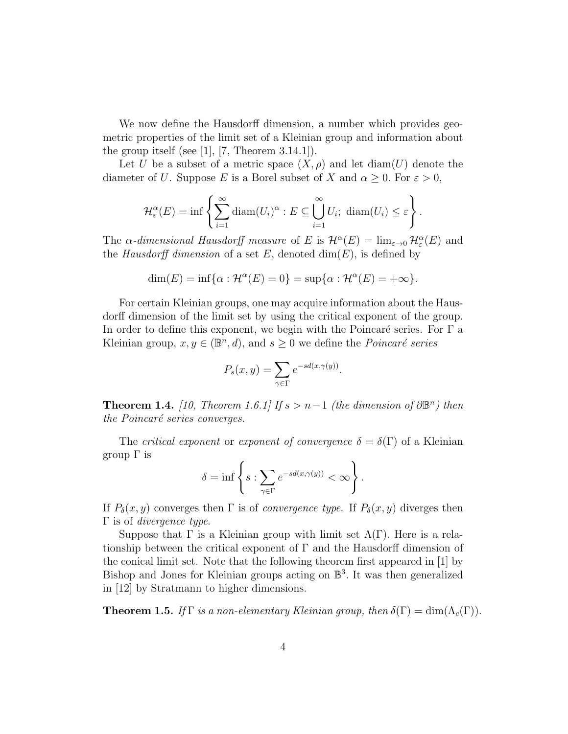We now define the Hausdorff dimension, a number which provides geometric properties of the limit set of a Kleinian group and information about the group itself (see  $[1]$ ,  $[7$ , Theorem 3.14.1]).

Let U be a subset of a metric space  $(X, \rho)$  and let diam(U) denote the diameter of U. Suppose E is a Borel subset of X and  $\alpha \geq 0$ . For  $\varepsilon > 0$ ,

$$
\mathcal{H}_{\varepsilon}^{\alpha}(E) = \inf \left\{ \sum_{i=1}^{\infty} \operatorname{diam}(U_i)^{\alpha} : E \subseteq \bigcup_{i=1}^{\infty} U_i; \ \operatorname{diam}(U_i) \leq \varepsilon \right\}.
$$

The  $\alpha$ -dimensional Hausdorff measure of E is  $\mathcal{H}^{\alpha}(E) = \lim_{\varepsilon \to 0} \mathcal{H}^{\alpha}_{\varepsilon}(E)$  and the Hausdorff dimension of a set E, denoted  $\dim(E)$ , is defined by

$$
\dim(E) = \inf \{ \alpha : \mathcal{H}^{\alpha}(E) = 0 \} = \sup \{ \alpha : \mathcal{H}^{\alpha}(E) = +\infty \}.
$$

For certain Kleinian groups, one may acquire information about the Hausdorff dimension of the limit set by using the critical exponent of the group. In order to define this exponent, we begin with the Poincaré series. For  $\Gamma$  a Kleinian group,  $x, y \in (\mathbb{B}^n, d)$ , and  $s \geq 0$  we define the *Poincaré series* 

$$
P_s(x, y) = \sum_{\gamma \in \Gamma} e^{-sd(x, \gamma(y))}.
$$

**Theorem 1.4.** [10, Theorem 1.6.1] If  $s > n-1$  (the dimension of  $\partial \mathbb{B}^n$ ) then the Poincaré series converges.

The *critical exponent* or *exponent of convergence*  $\delta = \delta(\Gamma)$  of a Kleinian group Γ is

$$
\delta = \inf \left\{ s : \sum_{\gamma \in \Gamma} e^{-sd(x, \gamma(y))} < \infty \right\}.
$$

If  $P_\delta(x, y)$  converges then  $\Gamma$  is of *convergence type*. If  $P_\delta(x, y)$  diverges then  $Γ$  is of *divergence type.* 

Suppose that  $\Gamma$  is a Kleinian group with limit set  $\Lambda(\Gamma)$ . Here is a relationship between the critical exponent of  $\Gamma$  and the Hausdorff dimension of the conical limit set. Note that the following theorem first appeared in [1] by Bishop and Jones for Kleinian groups acting on B 3 . It was then generalized in [12] by Stratmann to higher dimensions.

**Theorem 1.5.** If  $\Gamma$  is a non-elementary Kleinian group, then  $\delta(\Gamma) = \dim(\Lambda_c(\Gamma))$ .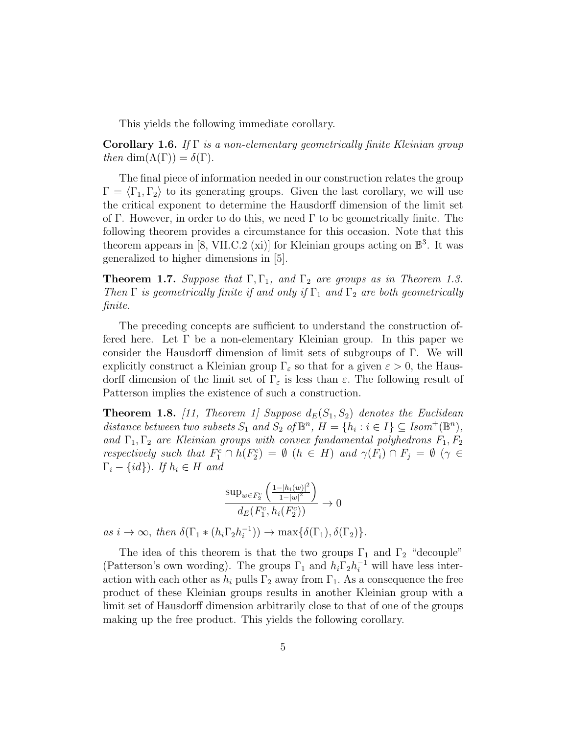This yields the following immediate corollary.

**Corollary 1.6.** If  $\Gamma$  is a non-elementary geometrically finite Kleinian group then dim( $\Lambda(\Gamma)$ ) =  $\delta(\Gamma)$ .

The final piece of information needed in our construction relates the group  $\Gamma = \langle \Gamma_1, \Gamma_2 \rangle$  to its generating groups. Given the last corollary, we will use the critical exponent to determine the Hausdorff dimension of the limit set of Γ. However, in order to do this, we need  $\Gamma$  to be geometrically finite. The following theorem provides a circumstance for this occasion. Note that this theorem appears in [8, VII.C.2 (xi)] for Kleinian groups acting on  $\mathbb{B}^3$ . It was generalized to higher dimensions in [5].

**Theorem 1.7.** Suppose that  $\Gamma$ ,  $\Gamma$ <sub>1</sub>, and  $\Gamma$ <sub>2</sub> are groups as in Theorem 1.3. Then  $\Gamma$  is geometrically finite if and only if  $\Gamma_1$  and  $\Gamma_2$  are both geometrically finite.

The preceding concepts are sufficient to understand the construction offered here. Let  $\Gamma$  be a non-elementary Kleinian group. In this paper we consider the Hausdorff dimension of limit sets of subgroups of Γ. We will explicitly construct a Kleinian group  $\Gamma_{\varepsilon}$  so that for a given  $\varepsilon > 0$ , the Hausdorff dimension of the limit set of  $\Gamma_{\varepsilon}$  is less than  $\varepsilon$ . The following result of Patterson implies the existence of such a construction.

**Theorem 1.8.** [11, Theorem 1] Suppose  $d_E(S_1, S_2)$  denotes the Euclidean distance between two subsets  $S_1$  and  $S_2$  of  $\mathbb{B}^n$ ,  $H = \{h_i : i \in I\} \subseteq Isom^+(\mathbb{B}^n)$ , and  $\Gamma_1, \Gamma_2$  are Kleinian groups with convex fundamental polyhedrons  $F_1, F_2$ respectively such that  $F_1^c \cap h(F_2^c) = \emptyset$   $(h \in H)$  and  $\gamma(F_i) \cap F_j = \emptyset$   $(\gamma \in$  $\Gamma_i - \{id\}$ ). If  $h_i \in H$  and

$$
\frac{\sup_{w \in F_2^c} \left( \frac{1 - |h_i(w)|^2}{1 - |w|^2} \right)}{d_E(F_1^c, h_i(F_2^c))} \to 0
$$

as  $i \to \infty$ , then  $\delta(\Gamma_1 * (h_i \Gamma_2 h_i^{-1}))$  $i_{i}^{-1}$ )  $\rightarrow$  max $\{\delta(\Gamma_1), \delta(\Gamma_2)\}.$ 

The idea of this theorem is that the two groups  $\Gamma_1$  and  $\Gamma_2$  "decouple" (Patterson's own wording). The groups  $\Gamma_1$  and  $h_i \Gamma_2 h_i^{-1}$  will have less interaction with each other as  $h_i$  pulls  $\Gamma_2$  away from  $\Gamma_1$ . As a consequence the free product of these Kleinian groups results in another Kleinian group with a limit set of Hausdorff dimension arbitrarily close to that of one of the groups making up the free product. This yields the following corollary.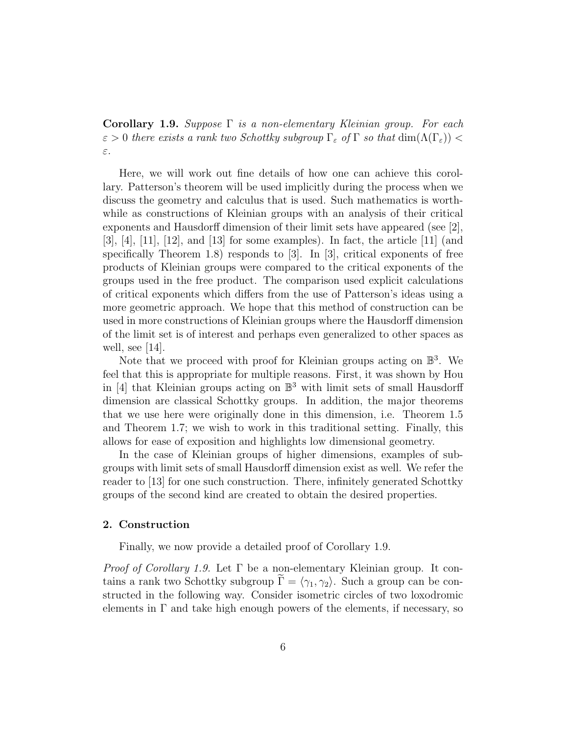**Corollary 1.9.** Suppose  $\Gamma$  is a non-elementary Kleinian group. For each  $\varepsilon > 0$  there exists a rank two Schottky subgroup  $\Gamma_{\varepsilon}$  of  $\Gamma$  so that  $\dim(\Lambda(\Gamma_{\varepsilon}))$ ε.

Here, we will work out fine details of how one can achieve this corollary. Patterson's theorem will be used implicitly during the process when we discuss the geometry and calculus that is used. Such mathematics is worthwhile as constructions of Kleinian groups with an analysis of their critical exponents and Hausdorff dimension of their limit sets have appeared (see [2],  $[3], [4], [11], [12],$  and  $[13]$  for some examples). In fact, the article  $[11]$  (and specifically Theorem 1.8) responds to [3]. In [3], critical exponents of free products of Kleinian groups were compared to the critical exponents of the groups used in the free product. The comparison used explicit calculations of critical exponents which differs from the use of Patterson's ideas using a more geometric approach. We hope that this method of construction can be used in more constructions of Kleinian groups where the Hausdorff dimension of the limit set is of interest and perhaps even generalized to other spaces as well, see  $|14|$ .

Note that we proceed with proof for Kleinian groups acting on  $\mathbb{B}^3$ . We feel that this is appropriate for multiple reasons. First, it was shown by Hou in [4] that Kleinian groups acting on  $\mathbb{B}^3$  with limit sets of small Hausdorff dimension are classical Schottky groups. In addition, the major theorems that we use here were originally done in this dimension, i.e. Theorem 1.5 and Theorem 1.7; we wish to work in this traditional setting. Finally, this allows for ease of exposition and highlights low dimensional geometry.

In the case of Kleinian groups of higher dimensions, examples of subgroups with limit sets of small Hausdorff dimension exist as well. We refer the reader to [13] for one such construction. There, infinitely generated Schottky groups of the second kind are created to obtain the desired properties.

#### 2. Construction

Finally, we now provide a detailed proof of Corollary 1.9.

*Proof of Corollary 1.9.* Let  $\Gamma$  be a non-elementary Kleinian group. It contains a rank two Schottky subgroup  $\Gamma = \langle \gamma_1, \gamma_2 \rangle$ . Such a group can be constructed in the following way. Consider isometric circles of two loxodromic elements in  $\Gamma$  and take high enough powers of the elements, if necessary, so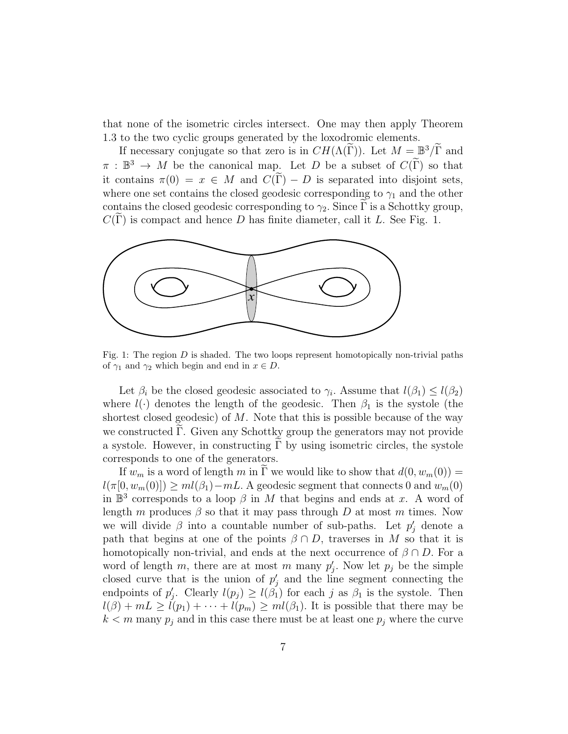that none of the isometric circles intersect. One may then apply Theorem 1.3 to the two cyclic groups generated by the loxodromic elements.

If necessary conjugate so that zero is in  $CH(\Lambda(\widetilde{\Gamma}))$ . Let  $M = \mathbb{B}^3/\widetilde{\Gamma}$  and  $\pi : \mathbb{B}^3 \to M$  be the canonical map. Let D be a subset of  $C(\widetilde{\Gamma})$  so that it contains  $\pi(0) = x \in M$  and  $C(\tilde{\Gamma}) - D$  is separated into disjoint sets, where one set contains the closed geodesic corresponding to  $\gamma_1$  and the other contains the closed geodesic corresponding to  $\gamma_2$ . Since  $\Gamma$  is a Schottky group,  $C(\Gamma)$  is compact and hence D has finite diameter, call it L. See Fig. 1.



Fig. 1: The region  $D$  is shaded. The two loops represent homotopically non-trivial paths of  $\gamma_1$  and  $\gamma_2$  which begin and end in  $x \in D$ .

Let  $\beta_i$  be the closed geodesic associated to  $\gamma_i$ . Assume that  $l(\beta_1) \leq l(\beta_2)$ where  $l(\cdot)$  denotes the length of the geodesic. Then  $\beta_1$  is the systole (the shortest closed geodesic) of  $M$ . Note that this is possible because of the way we constructed Γ. Given any Schottky group the generators may not provide a systole. However, in constructing  $\Gamma$  by using isometric circles, the systole corresponds to one of the generators.

If  $w_m$  is a word of length m in  $\widetilde{\Gamma}$  we would like to show that  $d(0, w_m(0)) =$  $l(\pi[0, w_m(0)]) \geq ml(\beta_1) - mL$ . A geodesic segment that connects 0 and  $w_m(0)$ in  $\mathbb{B}^3$  corresponds to a loop  $\beta$  in M that begins and ends at x. A word of length m produces  $\beta$  so that it may pass through D at most m times. Now we will divide  $\beta$  into a countable number of sub-paths. Let  $p'_j$  denote a path that begins at one of the points  $\beta \cap D$ , traverses in M so that it is homotopically non-trivial, and ends at the next occurrence of  $\beta \cap D$ . For a word of length m, there are at most m many  $p'_j$ . Now let  $p_j$  be the simple closed curve that is the union of  $p'_j$  and the line segment connecting the endpoints of  $p'_j$ . Clearly  $l(p_j) \geq l(\beta_1)$  for each j as  $\beta_1$  is the systole. Then  $l(\beta) + mL \geq l(p_1) + \cdots + l(p_m) \geq ml(\beta_1)$ . It is possible that there may be  $k < m$  many  $p_j$  and in this case there must be at least one  $p_j$  where the curve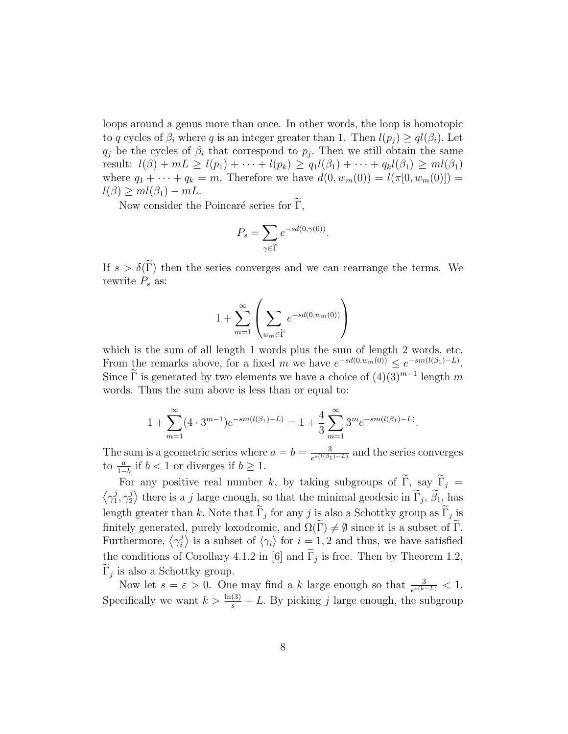loops around a genus more than once. In other words, the loop is homotopic to q cycles of  $\beta_i$  where q is an integer greater than 1. Then  $l(p_i) \geq q l(\beta_i)$ . Let  $q_j$  be the cycles of  $\beta_i$  that correspond to  $p_j$ . Then we still obtain the same result:  $l(\beta) + mL \ge l(p_1) + \cdots + l(p_k) \ge q_1 l(\beta_1) + \cdots + q_k l(\beta_1) \ge ml(\beta_1)$ where  $q_1 + \cdots + q_k = m$ . Therefore we have  $d(0, w_m(0)) = l(\pi[0, w_m(0)])$  =  $l(\beta) \geq ml(\beta_1) - mL.$ 

Now consider the Poincaré series for  $\widetilde{\Gamma}$ ,

$$
P_s = \sum_{\gamma \in \widetilde{\Gamma}} e^{-sd(0, \gamma(0))}.
$$

If  $s > \delta(\tilde{\Gamma})$  then the series converges and we can rearrange the terms. We rewrite  $P_s$  as:

$$
1 + \sum_{m=1}^{\infty} \left( \sum_{w_m \in \widetilde{\Gamma}} e^{-sd(0, w_m(0))} \right)
$$

which is the sum of all length 1 words plus the sum of length 2 words, etc. From the remarks above, for a fixed m we have  $e^{-sd(0,w_m(0))} \leq e^{-sm(l(\beta_1)-L)}$ . Since  $\tilde{\Gamma}$  is generated by two elements we have a choice of  $(4)(3)^{m-1}$  length m words. Thus the sum above is less than or equal to:

$$
1 + \sum_{m=1}^{\infty} (4 \cdot 3^{m-1}) e^{-sm(l(\beta_1)-L)} = 1 + \frac{4}{3} \sum_{m=1}^{\infty} 3^m e^{-sm(l(\beta_1)-L)}.
$$

The sum is a geometric series where  $a = b = \frac{3}{e^{s(l/\beta)}}$  $\frac{3}{e^{s(l(\beta_1)-L)}}$  and the series converges to  $\frac{a}{1-b}$  if  $b < 1$  or diverges if  $b \geq 1$ .

For any positive real number k, by taking subgroups of  $\widetilde{\Gamma}$ , say  $\widetilde{\Gamma}_j$  =  $\gamma_1^j$  $j\over 1,\gamma_2^j$  $\ket{\psi}$  there is a j large enough, so that the minimal geodesic in  $\Gamma_j$ ,  $\beta_1$ , has length greater than k. Note that  $\Gamma_j$  for any j is also a Schottky group as  $\Gamma_j$  is finitely generated, purely loxodromic, and  $\Omega(\Gamma) \neq \emptyset$  since it is a subset of  $\Gamma$ . Furthermore,  $\langle \gamma_i^j \rangle$  $\binom{j}{i}$  is a subset of  $\langle \gamma_i \rangle$  for  $i = 1, 2$  and thus, we have satisfied the conditions of Corollary 4.1.2 in [6] and  $\Gamma_j$  is free. Then by Theorem 1.2,  $\Gamma_j$  is also a Schottky group.

Now let  $s = \varepsilon > 0$ . One may find a k large enough so that  $\frac{3}{e^{s(k-L)}} < 1$ . Specifically we want  $k > \frac{\ln(3)}{s} + L$ . By picking j large enough, the subgroup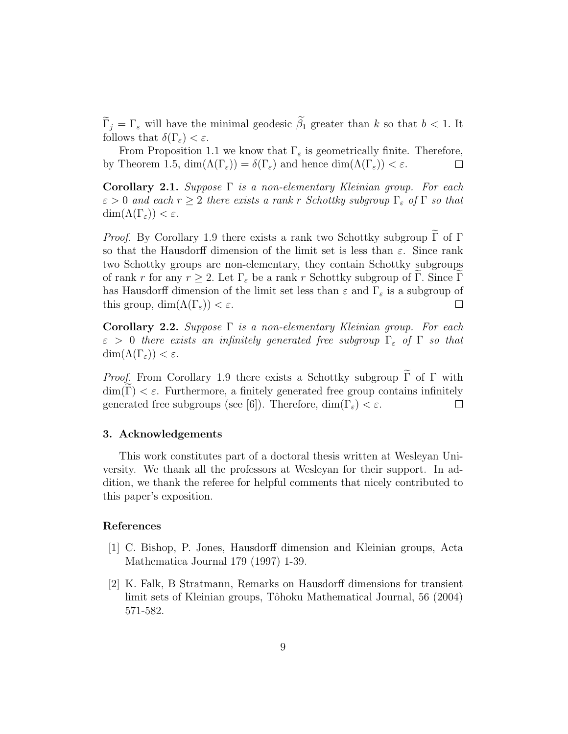$\widetilde{\Gamma}_j = \Gamma_{\varepsilon}$  will have the minimal geodesic  $\widetilde{\beta}_1$  greater than k so that  $b < 1$ . It follows that  $\delta(\Gamma_{\varepsilon}) < \varepsilon$ .

From Proposition 1.1 we know that  $\Gamma_{\varepsilon}$  is geometrically finite. Therefore, by Theorem 1.5,  $\dim(\Lambda(\Gamma_{\varepsilon})) = \delta(\Gamma_{\varepsilon})$  and hence  $\dim(\Lambda(\Gamma_{\varepsilon})) < \varepsilon$ .  $\Box$ 

Corollary 2.1. Suppose  $\Gamma$  is a non-elementary Kleinian group. For each  $\varepsilon > 0$  and each  $r \geq 2$  there exists a rank r Schottky subgroup  $\Gamma_{\varepsilon}$  of  $\Gamma$  so that  $\dim(\Lambda(\Gamma_{\varepsilon})) < \varepsilon.$ 

*Proof.* By Corollary 1.9 there exists a rank two Schottky subgroup  $\tilde{\Gamma}$  of  $\Gamma$ so that the Hausdorff dimension of the limit set is less than  $\varepsilon$ . Since rank two Schottky groups are non-elementary, they contain Schottky subgroups of rank r for any  $r \geq 2$ . Let  $\Gamma_{\varepsilon}$  be a rank r Schottky subgroup of  $\Gamma$ . Since  $\Gamma$ has Hausdorff dimension of the limit set less than  $\varepsilon$  and  $\Gamma_{\varepsilon}$  is a subgroup of this group,  $\dim(\Lambda(\Gamma_{\varepsilon})) < \varepsilon$ .  $\Box$ 

Corollary 2.2. Suppose  $\Gamma$  is a non-elementary Kleinian group. For each  $\varepsilon > 0$  there exists an infinitely generated free subgroup  $\Gamma_{\varepsilon}$  of  $\Gamma$  so that  $\dim(\Lambda(\Gamma_{\varepsilon})) < \varepsilon.$ 

*Proof.* From Corollary 1.9 there exists a Schottky subgroup  $\tilde{\Gamma}$  of  $\Gamma$  with dim(Γ)  $\lt \varepsilon$ . Furthermore, a finitely generated free group contains infinitely generated free subgroups (see [6]). Therefore, dim(Γ<sub> $\epsilon$ </sub>)  $\lt \varepsilon$ . generated free subgroups (see [6]). Therefore,  $\dim(\Gamma_{\varepsilon}) < \varepsilon$ .

#### 3. Acknowledgements

This work constitutes part of a doctoral thesis written at Wesleyan University. We thank all the professors at Wesleyan for their support. In addition, we thank the referee for helpful comments that nicely contributed to this paper's exposition.

#### References

- [1] C. Bishop, P. Jones, Hausdorff dimension and Kleinian groups, Acta Mathematica Journal 179 (1997) 1-39.
- [2] K. Falk, B Stratmann, Remarks on Hausdorff dimensions for transient limit sets of Kleinian groups, Tôhoku Mathematical Journal, 56 (2004) 571-582.